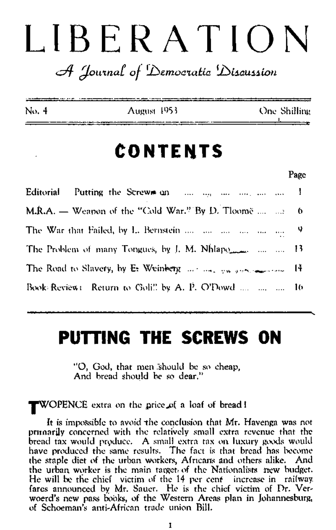# LIBERATION

## $\mathscr{A}$  Journal of Democratic Discussion

| No. 4 | August 1953 | One Shilling |
|-------|-------------|--------------|
|       |             |              |

# CONTENTS

Page

Editorial Putting the Screws and the same the contract the J. M.R.A.  $\equiv$  Weapon of the "Cold War." By D. Tloome .... ... o The War that Failed, by L. Bernstein ..., ..., ..., ..., ..., ..., 9 The Problem of many Tongues, by J. M. Nhlapo 13 The Road to Slavery, by E. Weinberg  $\ldots \ldots \ldots$  yes given and  $\ldots$ 14 Book Review: Return to Goli!! by A. P. O'Dowd .... .... .... 16

# PUTTING THE SCREWS ON

"O, God, that men should be so cheap, And bread should be so dear,"

## **FWOPENCE** extra on the price of a loaf of bread!

It is impossible to avoid the conclusion that Mr. Havenga was not primarily concerned with the relatively small extra revenue that the bread tax would produce. A small extra tax on luxury goods would have produced the same results. The fact is that bread has become the staple diet of the urban workers, Africans and others alike. And the urban worker is the main target of the Nationalists rrew budget. He will be the chief victim of the 14 per cent increase in railway. fares announced by Mr. Sauer. He is the chief victim of Dr. Verwoerd's new pass books, of the Western Areas plan in Johannesburg, of Schoeman's anti-African trade union Bill.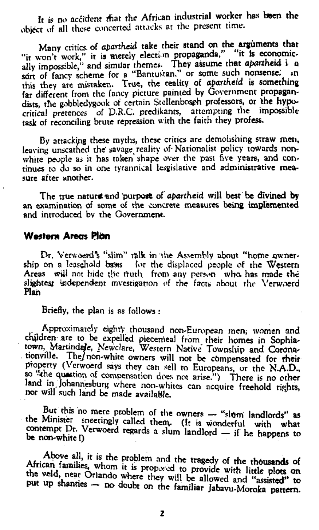It is no accident that the African industrial worker has been the object of all these concerted attacks at the present time.

Many critics, of apartheid take their stand on the arguments that "it won't work," it is metely election propaganda," "it Is economically impossible," and similar themes. They assume that apartheid i a sort of fancy scheme for a "Bantustan." or some such nonsense. In this they are mistaken. True, the reality of *apartheid* is something far different from the fancy picture painted by Government propagandists, the gobbledygook of certain Stellenbosph professors, or the hypocritical pretences of D.R.C. predikants, attempting the impossible task of reconciling brute repression with the faith they profess.

The true natura and purpose of apartheid will best be divined by an examination of some of the concrete measures being implemented and introduced bv the Government.

Dr. Verwoerd's "slim" talk in the Assembly about "home ownership on a leasehold bases for the displaced people of the Western Areas will not hide the truth from any person who has made the slightest independent investigation of the facts about the Verwoerd **Plan** 

By attacking these myths, these critics are demolishing straw men, leaving unscathed the' savage, reality of-Nationalist policy towards nonwhite people as it has taken shape over the past five years, and continues to do so in one tyrannical lesgislative and administrative measure after another.

#### **Western Areas Plan**

Briefly, the plan is as follows :

Approximately eighty thousand non-European men; women and children are to be expelled piecemeal from their homes in Sophiatown, Martindale, Newclare, Western Native Township and Coronationville. The/non-white owners will not be compensated for rheir property (Verwoerd says they can sell to Europeans, or the N.A.D., so *-the* question of compensation does not arise.") There *is* no other land in Johannesburg where non-whites can acquire freehold rights, nor will such land be made available.

the Minister specified collect of the owners  $\rightarrow$  "sigm landlords" as no mere problem of the owner ontempt Dr. Verwoerd regards a clum landland if L. i. be non-white !) **EU ROCIO regards a sium landlor**  -  $-$  if h » « is dependent of the control of the control of the control of the control of the control of the control of the control of the control of the control of the control of the control of the control of the control of the con

Above all, it is the problem and the tragedy of the thousands of African families, whom it is proposed to provide with little plots on est refer Strando where they will be allowed and "assisted" to<br>put up shanties - no doubt on the familiar Jabavu-Moroka pattern. where they will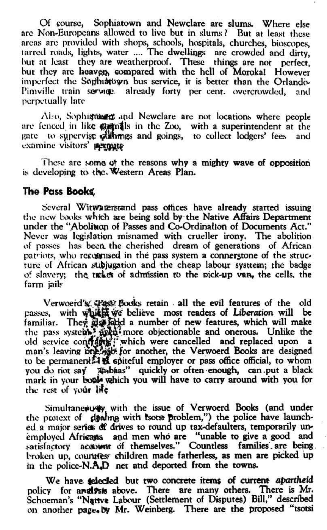Of course, Sophiatown and Newclare are slums. Where else arc Non-Europeans allowed to live but in slums ? But at least these areas are provided with shops, schools, hospitals, churches, bioscopes, larred roads, lights, water .... The dwellings arc crowded and dirty, hut at least they are weatherproof. These things are not perfect, but they are heaven, compared with the hell of Moroka! However imperfect the Sophiatown bus service, it is better than the Orlando-Pimville train service already forty per cent. overcrowded, and perpetually late

Also, Sophisticant and Newclare are not locations where people are fenced in like manifes in the Zoo, with a superintendent at the gate to supervise ollarings and goings, to collect lodgers' fees and examine visitors' permate

These arc some of the reasons why a mighty wave of opposition is developing to the. Western Areas Plan.

#### **The Pass Books**

Several Witware ristand pass offices have already started issuing the new books wbfch are being sold by the Native Affairs Department under the "Abolition of Passes and Co-Ordination of Documents Act." Never was legislation misnamed with crueller irony. The abolition of passes has been the cherished dream of generations of African patriots, who recognised in the pass system a connerstone of the structure of African subjugation and the cheap labour systtem; the badge of slavery; the tracket of admission to the pick-up van, the cells, the farm jails

\* Verwoerd's. Pass Books retain all the evil features of the old passes, with which we believe most readers of Liberation will be familiar. They also fadd a number of new features, which will make the pass system.<sup>3</sup> aven: more objectionable and onerous. Unlike the old service conframe; which were cancelled and replaced upon a man's leaving one job for another, the Verwoerd Books are designed to be permanent. If spiteful employer or pass office official, to whom you do not say ja baas" quickly or often enough, can put a black mark in your book which you will have to carry around with you for the rest of your life

Simultaneously with the issue of Verwoerd Books (and under the protext of dealing with tsotst problem,") the police have launched a major series of drives to round up tax-defaulters, temporarily unemployed Africans and men who are "unable to give a good and satisfactory acorum of themselves." Countless families are being. broken up, countress children made fatherless, as men are picked up in the police-N.A.D net and deported from the towns.

We have selected but two concrete items of current apartheid policy for and vsts above. There are many others. There is Mr. Schoeman's "Native Labour (Settlement of Disputes) Bill," described on another page. by Mr. Weinberg. There are the proposed "tsotsi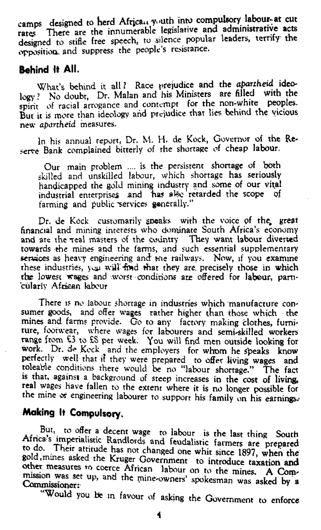camps designed to herd African youth into compulsory labour-at cut rates There are the innumerable legislative and administrative acts designed to stifle free speech, to silence popular leaders, terrify the opposition, and suppress the people's resistance.

What's behind it all ? Race prejudice and the *apartheid* ideology ? No doubt, Dr. Malan and his Ministers are filled with the spirit of racial arrogance and contempt for the non-white peoples. But it is more than ideology arid prejudice that lies behind the vicious new apartheid measures.

### **Behind It All.**

In his annual report, Dr. M. H. de Kock, Governor of the Re serve Bank complained bitterly of the shortage of cheap labour.

Our main problem .... is the persistent shortage of both skilled and unskilled labour, which shortage has seriously handicapped the gold mining industry and some of our vital industrial enterprises and has also retarded the scope of farming and public services generally."

Dr. de Kock customarily speaks with the voice of the great financial and mining interests who dominate South Africa's economy and are the real masters of the country They want labour diverted towards the mines and the farms, and such essential supplementary services as heavy engineering and me railways. Now, if you examine these industries, you will find that they are precisely those in which the lowest wages and worst conditions are offered for labour, particularly African labour

There is no labour shortage in industries which manufacture consumer goods, and offer wages rather higher than those which the mines and farms provide. Go to any factory making clothes, furniture, footwear, where wages for labourers and semi-skilled workers range from £3 to £S per week. You will find men outside looking for work. Dr. de Keck and the employers for whom he speaks know perfectly well that it they were prepared to offer living wages and toleable conditions there would be no "labour shortage." The fact is that, against a background of steep increases in the cost of living, real wages have fallen to the extent where it is no longer possible for the mine or engineering labourer to support his family on his earnings.

## **Making It Compulsory.**

, But<br><del>Africals</del> to offer a decent wage to labour is the last thing South Afnca-s impenahstic Randlords and feudalistic farmers are prepared  $\frac{1}{2}$  w do. I heir attitude has not changed one whit since 1897, when the gold,mines asked the Kruger Government to introduce taxation and other measures to coerce African labour on to the mines. A Commission was set up, and the mine-owners' spokesman was asked by a<br>Commissioner:<br><sup>"W</sup>'"\*\*\*\*

"Would you Be in favour of asking the Government to enforce